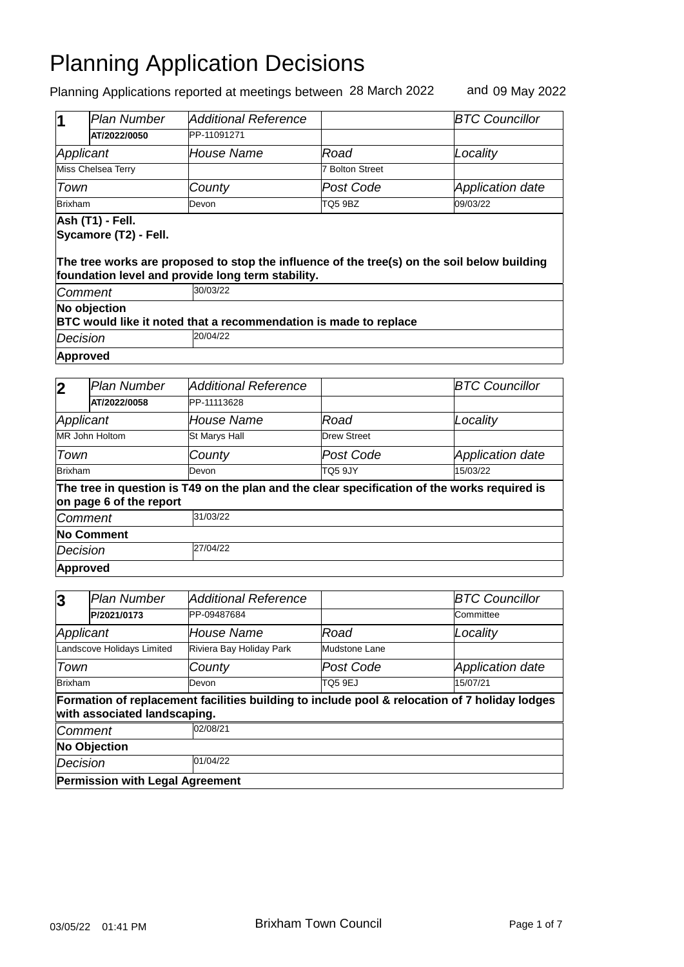| 1                                                                                | <b>Plan Number</b>                                                                                                                                                                            | <b>Additional Reference</b> |                        | <b>BTC Councillor</b> |  |  |
|----------------------------------------------------------------------------------|-----------------------------------------------------------------------------------------------------------------------------------------------------------------------------------------------|-----------------------------|------------------------|-----------------------|--|--|
|                                                                                  | AT/2022/0050                                                                                                                                                                                  | PP-11091271                 |                        |                       |  |  |
| Applicant                                                                        |                                                                                                                                                                                               | <b>House Name</b>           | Road                   | Locality              |  |  |
|                                                                                  | Miss Chelsea Terry                                                                                                                                                                            |                             | <b>7 Bolton Street</b> |                       |  |  |
| Town                                                                             |                                                                                                                                                                                               | County                      | Post Code              | Application date      |  |  |
| <b>Brixham</b>                                                                   |                                                                                                                                                                                               | Devon                       | TQ5 9BZ                | 09/03/22              |  |  |
|                                                                                  | Ash (T1) - Fell.<br>Sycamore (T2) - Fell.<br>The tree works are proposed to stop the influence of the tree(s) on the soil below building<br>foundation level and provide long term stability. |                             |                        |                       |  |  |
| Comment                                                                          |                                                                                                                                                                                               | 30/03/22                    |                        |                       |  |  |
| No objection<br>BTC would like it noted that a recommendation is made to replace |                                                                                                                                                                                               |                             |                        |                       |  |  |
| Decision                                                                         |                                                                                                                                                                                               | 20/04/22                    |                        |                       |  |  |
|                                                                                  | <b>Approved</b>                                                                                                                                                                               |                             |                        |                       |  |  |

| $\overline{\mathbf{2}}$ | Plan Number             | Additional Reference |                    | <b>BTC Councillor</b>                                                                        |  |  |
|-------------------------|-------------------------|----------------------|--------------------|----------------------------------------------------------------------------------------------|--|--|
|                         | AT/2022/0058            | PP-11113628          |                    |                                                                                              |  |  |
| Applicant               |                         | House Name           | Road               | Locality                                                                                     |  |  |
|                         | MR John Holtom          | <b>St Marys Hall</b> | <b>Drew Street</b> |                                                                                              |  |  |
| Town                    |                         | County               | Post Code          | Application date                                                                             |  |  |
| Brixham                 |                         | Devon                | TQ5 9JY            | 15/03/22                                                                                     |  |  |
|                         | on page 6 of the report |                      |                    | The tree in question is T49 on the plan and the clear specification of the works required is |  |  |
| Comment                 |                         | 31/03/22             |                    |                                                                                              |  |  |
| <b>No Comment</b>       |                         |                      |                    |                                                                                              |  |  |
| Decision                |                         | 27/04/22             |                    |                                                                                              |  |  |
|                         | <b>Approved</b>         |                      |                    |                                                                                              |  |  |

| $\overline{3}$       | <b>Plan Number</b>                     | Additional Reference     |               | <b>BTC Councillor</b>                                                                         |  |  |
|----------------------|----------------------------------------|--------------------------|---------------|-----------------------------------------------------------------------------------------------|--|--|
|                      | P/2021/0173                            | PP-09487684              |               | Committee                                                                                     |  |  |
| Applicant            |                                        | House Name               | Road          | Locality                                                                                      |  |  |
|                      | Landscove Holidays Limited             | Riviera Bay Holiday Park | Mudstone Lane |                                                                                               |  |  |
| Town                 |                                        | County                   | Post Code     | <b>Application date</b>                                                                       |  |  |
| Brixham              |                                        | Devon                    | TO5 9EJ       | 15/07/21                                                                                      |  |  |
|                      | with associated landscaping.           |                          |               | Formation of replacement facilities building to include pool & relocation of 7 holiday lodges |  |  |
| <b>Comment</b>       |                                        | 02/08/21                 |               |                                                                                               |  |  |
| <b>No Objection</b>  |                                        |                          |               |                                                                                               |  |  |
| 01/04/22<br>Decision |                                        |                          |               |                                                                                               |  |  |
|                      | <b>Permission with Legal Agreement</b> |                          |               |                                                                                               |  |  |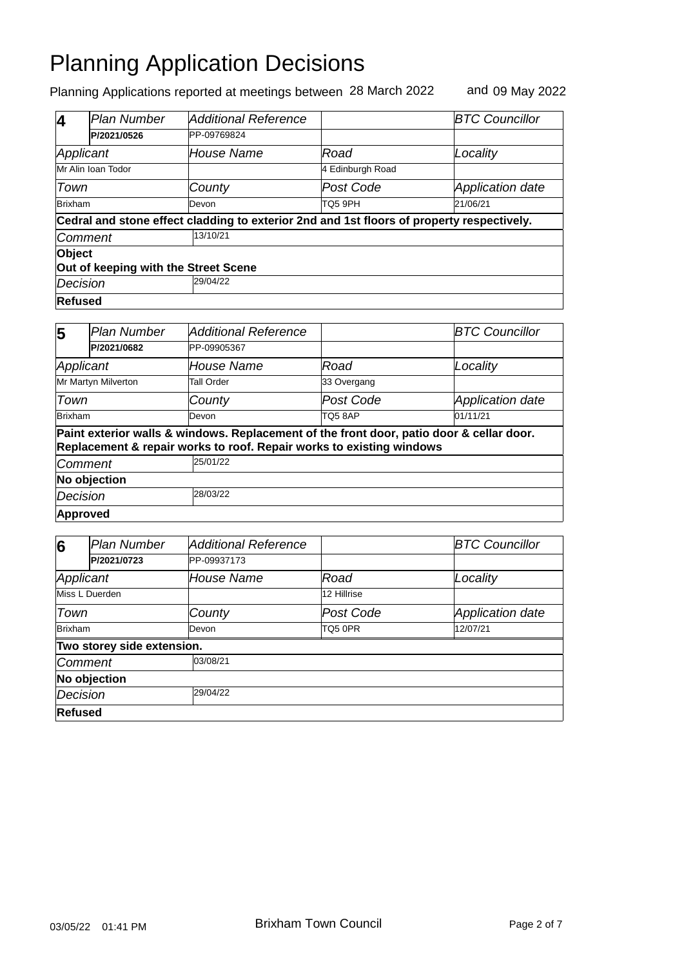| Z                                    | Plan Number        | Additional Reference                                                                      |                  | <b>BTC Councillor</b>   |  |
|--------------------------------------|--------------------|-------------------------------------------------------------------------------------------|------------------|-------------------------|--|
|                                      | P/2021/0526        | PP-09769824                                                                               |                  |                         |  |
| Applicant                            |                    | <i>House Name</i>                                                                         | Road             | Locality                |  |
|                                      | Mr Alin Ioan Todor |                                                                                           | 4 Edinburgh Road |                         |  |
| Town                                 |                    | County                                                                                    | Post Code        | <b>Application date</b> |  |
| <b>Brixham</b>                       |                    | Devon                                                                                     | TQ5 9PH          | 21/06/21                |  |
|                                      |                    | Cedral and stone effect cladding to exterior 2nd and 1st floors of property respectively. |                  |                         |  |
| Comment                              |                    | 13/10/21                                                                                  |                  |                         |  |
| <b>Object</b>                        |                    |                                                                                           |                  |                         |  |
| Out of keeping with the Street Scene |                    |                                                                                           |                  |                         |  |
| Decision                             |                    | 29/04/22                                                                                  |                  |                         |  |
|                                      | Refused            |                                                                                           |                  |                         |  |

| 5            | <b>Plan Number</b>  | Additional Reference                                                                                                                                             |                | <b>BTC Councillor</b>   |
|--------------|---------------------|------------------------------------------------------------------------------------------------------------------------------------------------------------------|----------------|-------------------------|
|              | P/2021/0682         | PP-09905367                                                                                                                                                      |                |                         |
|              | Applicant           | House Name                                                                                                                                                       | Road           | Locality                |
|              | Mr Martyn Milverton | Tall Order                                                                                                                                                       | 33 Overgang    |                         |
| Town         |                     | County                                                                                                                                                           | Post Code      | <b>Application date</b> |
| Brixham      |                     | Devon                                                                                                                                                            | <b>TO5 8AP</b> | 01/11/21                |
|              |                     | Paint exterior walls & windows. Replacement of the front door, patio door & cellar door.<br>Replacement & repair works to roof. Repair works to existing windows |                |                         |
|              | <b>Comment</b>      | 25/01/22                                                                                                                                                         |                |                         |
| No objection |                     |                                                                                                                                                                  |                |                         |
| Decision     |                     | 28/03/22                                                                                                                                                         |                |                         |
|              | Approved            |                                                                                                                                                                  |                |                         |

| 6                    | Plan Number                | <b>Additional Reference</b> |             | <b>BTC Councillor</b>   |
|----------------------|----------------------------|-----------------------------|-------------|-------------------------|
|                      | P/2021/0723                | PP-09937173                 |             |                         |
| Applicant            |                            | <b>House Name</b>           | Road        | Locality                |
| Miss L Duerden       |                            |                             | 12 Hillrise |                         |
| Town                 |                            | County                      | Post Code   | <b>Application date</b> |
| Brixham              |                            | Devon                       | TQ5 0PR     | 12/07/21                |
|                      | Two storey side extension. |                             |             |                         |
| <b>Comment</b>       |                            | 03/08/21                    |             |                         |
| No objection         |                            |                             |             |                         |
| 29/04/22<br>Decision |                            |                             |             |                         |
| <b>Refused</b>       |                            |                             |             |                         |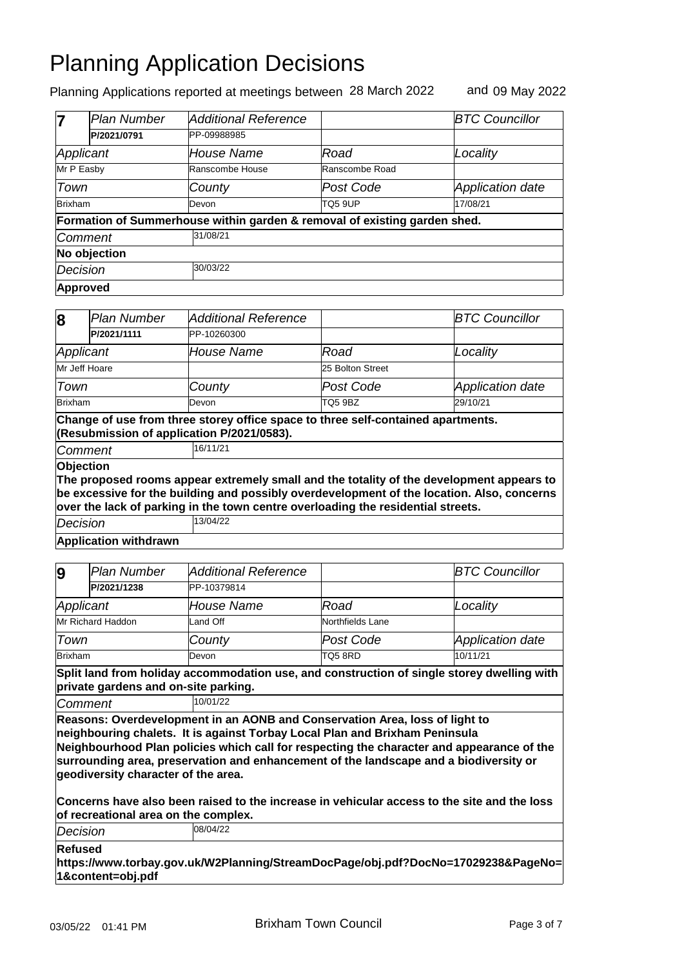Planning Applications reported at meetings between 28 March 2022 and 09 May 2022

|                      | <b>Plan Number</b> | <b>Additional Reference</b>                                               |                | <b>BTC Councillor</b>   |  |  |
|----------------------|--------------------|---------------------------------------------------------------------------|----------------|-------------------------|--|--|
|                      | P/2021/0791        | PP-09988985                                                               |                |                         |  |  |
| Applicant            |                    | House Name                                                                | Road           | Locality                |  |  |
| Mr P Easby           |                    | Ranscombe House                                                           | Ranscombe Road |                         |  |  |
| Town                 |                    | County                                                                    | Post Code      | <b>Application date</b> |  |  |
| Brixham              |                    | <b>Devon</b>                                                              | TQ5 9UP        | 17/08/21                |  |  |
|                      |                    | Formation of Summerhouse within garden & removal of existing garden shed. |                |                         |  |  |
| Comment              |                    | 31/08/21                                                                  |                |                         |  |  |
| No objection         |                    |                                                                           |                |                         |  |  |
| 30/03/22<br>Decision |                    |                                                                           |                |                         |  |  |
|                      | Approved           |                                                                           |                |                         |  |  |

| 8              | Plan Number                  | <b>Additional Reference</b>                                                                                                    |                  | <b>BTC Councillor</b>                                                                                                                                                                  |
|----------------|------------------------------|--------------------------------------------------------------------------------------------------------------------------------|------------------|----------------------------------------------------------------------------------------------------------------------------------------------------------------------------------------|
|                | P/2021/1111                  | PP-10260300                                                                                                                    |                  |                                                                                                                                                                                        |
|                | Applicant                    | House Name                                                                                                                     | Road             | Locality                                                                                                                                                                               |
|                | Mr Jeff Hoare                |                                                                                                                                | 25 Bolton Street |                                                                                                                                                                                        |
| Town           |                              | County                                                                                                                         | Post Code        | <b>Application date</b>                                                                                                                                                                |
| <b>Brixham</b> |                              | Devon                                                                                                                          | TQ5 9BZ          | 29/10/21                                                                                                                                                                               |
|                |                              | Change of use from three storey office space to three self-contained apartments.<br>(Resubmission of application P/2021/0583). |                  |                                                                                                                                                                                        |
|                |                              | 16/11/21                                                                                                                       |                  |                                                                                                                                                                                        |
|                | Comment                      |                                                                                                                                |                  |                                                                                                                                                                                        |
|                | <b>Objection</b>             | over the lack of parking in the town centre overloading the residential streets.                                               |                  | The proposed rooms appear extremely small and the totality of the development appears to<br>be excessive for the building and possibly overdevelopment of the location. Also, concerns |
| Decision       |                              | 13/04/22                                                                                                                       |                  |                                                                                                                                                                                        |
|                | <b>Application withdrawn</b> |                                                                                                                                |                  |                                                                                                                                                                                        |

| 9              | <b>Plan Number</b> | Additional Reference |                  | <b>BTC Councillor</b> |
|----------------|--------------------|----------------------|------------------|-----------------------|
|                | P/2021/1238        | PP-10379814          |                  |                       |
| Applicant      |                    | House Name           | Road             | Locality              |
|                | Mr Richard Haddon  | Land Off             | Northfields Lane |                       |
| Town           |                    | County               | Post Code        | Application date      |
| <b>Brixham</b> |                    | Devon                | TQ58RD           | 10/11/21              |

**Split land from holiday accommodation use, and construction of single storey dwelling with private gardens and on-site parking.**

*Comment* 10/01/22

**Reasons: Overdevelopment in an AONB and Conservation Area, loss of light to neighbouring chalets. It is against Torbay Local Plan and Brixham Peninsula Neighbourhood Plan policies which call for respecting the character and appearance of the surrounding area, preservation and enhancement of the landscape and a biodiversity or geodiversity character of the area.**

**Concerns have also been raised to the increase in vehicular access to the site and the loss of recreational area on the complex.**

*Decision* 08/04/22

**Refused**

**https://www.torbay.gov.uk/W2Planning/StreamDocPage/obj.pdf?DocNo=17029238&PageNo= 1&content=obj.pdf**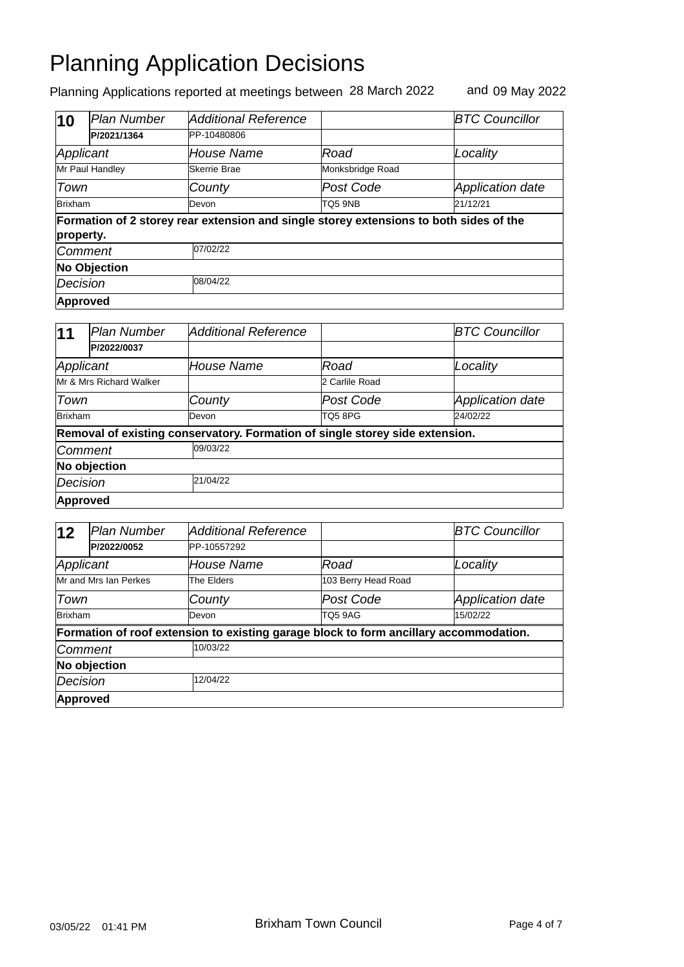| 10                  | Plan Number          | Additional Reference                                                                   |                  | <b>BTC Councillor</b> |  |
|---------------------|----------------------|----------------------------------------------------------------------------------------|------------------|-----------------------|--|
|                     | P/2021/1364          | PP-10480806                                                                            |                  |                       |  |
| Applicant           |                      | House Name                                                                             | Road             | Locality              |  |
|                     | Mr Paul Handley      | Skerrie Brae                                                                           | Monksbridge Road |                       |  |
| Town                |                      | County                                                                                 | Post Code        | Application date      |  |
| <b>Brixham</b>      |                      | Devon                                                                                  | TQ5 9NB          | 21/12/21              |  |
| property.           |                      | Formation of 2 storey rear extension and single storey extensions to both sides of the |                  |                       |  |
| <b>Comment</b>      |                      | 07/02/22                                                                               |                  |                       |  |
| <b>No Objection</b> |                      |                                                                                        |                  |                       |  |
|                     | 08/04/22<br>Decision |                                                                                        |                  |                       |  |
|                     | Approved             |                                                                                        |                  |                       |  |

| 11       | <b>Plan Number</b>      | <b>Additional Reference</b> |                                                                              | <b>BTC Councillor</b>   |
|----------|-------------------------|-----------------------------|------------------------------------------------------------------------------|-------------------------|
|          | P/2022/0037             |                             |                                                                              |                         |
|          | Applicant               | House Name                  | Road                                                                         | Locality                |
|          | Mr & Mrs Richard Walker |                             | 2 Carlile Road                                                               |                         |
| Town     |                         | County                      | Post Code                                                                    | <b>Application date</b> |
| Brixham  |                         | Devon                       | TO5 8PG                                                                      | 24/02/22                |
|          |                         |                             | Removal of existing conservatory. Formation of single storey side extension. |                         |
|          | <b>Comment</b>          | 09/03/22                    |                                                                              |                         |
|          | No objection            |                             |                                                                              |                         |
| Decision |                         | 21/04/22                    |                                                                              |                         |
|          | Approved                |                             |                                                                              |                         |

| 12              | Plan Number           | Additional Reference                                                                  |                     | <b>BTC Councillor</b>   |
|-----------------|-----------------------|---------------------------------------------------------------------------------------|---------------------|-------------------------|
|                 | P/2022/0052           | PP-10557292                                                                           |                     |                         |
|                 | Applicant             | House Name                                                                            | Road                | Locality                |
|                 | Mr and Mrs Ian Perkes | The Elders                                                                            | 103 Berry Head Road |                         |
| Town            |                       | County                                                                                | Post Code           | <b>Application date</b> |
| Brixham         |                       | Devon                                                                                 | TQ5 9AG             | 15/02/22                |
|                 |                       | Formation of roof extension to existing garage block to form ancillary accommodation. |                     |                         |
|                 | Comment               | 10/03/22                                                                              |                     |                         |
|                 | No objection          |                                                                                       |                     |                         |
| <b>Decision</b> |                       | 12/04/22                                                                              |                     |                         |
|                 | <b>Approved</b>       |                                                                                       |                     |                         |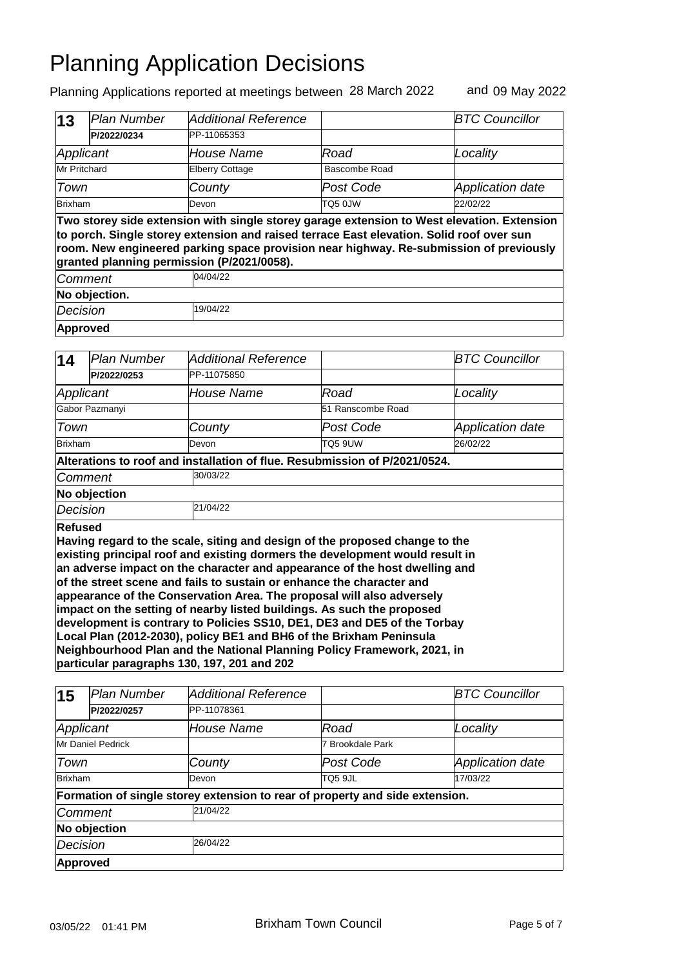| $\vert$ 13     | Plan Number                                                                                                                                                                                                                                                                                                                    | <b>Additional Reference</b> |               | <b>BTC Councillor</b>   |  |  |
|----------------|--------------------------------------------------------------------------------------------------------------------------------------------------------------------------------------------------------------------------------------------------------------------------------------------------------------------------------|-----------------------------|---------------|-------------------------|--|--|
|                | P/2022/0234                                                                                                                                                                                                                                                                                                                    | PP-11065353                 |               |                         |  |  |
|                | Applicant                                                                                                                                                                                                                                                                                                                      | House Name                  | Road          | Locality                |  |  |
| Mr Pritchard   |                                                                                                                                                                                                                                                                                                                                | <b>Elberry Cottage</b>      | Bascombe Road |                         |  |  |
| Town           |                                                                                                                                                                                                                                                                                                                                | County                      | Post Code     | <b>Application date</b> |  |  |
| <b>Brixham</b> |                                                                                                                                                                                                                                                                                                                                | Devon                       | TQ5 0JW       | 22/02/22                |  |  |
|                | Two storey side extension with single storey garage extension to West elevation. Extension<br>to porch. Single storey extension and raised terrace East elevation. Solid roof over sun<br>room. New engineered parking space provision near highway. Re-submission of previously<br>granted planning permission (P/2021/0058). |                             |               |                         |  |  |
|                | <b>Comment</b>                                                                                                                                                                                                                                                                                                                 | 04/04/22                    |               |                         |  |  |
|                | No objection.                                                                                                                                                                                                                                                                                                                  |                             |               |                         |  |  |
| Decision       |                                                                                                                                                                                                                                                                                                                                | 19/04/22                    |               |                         |  |  |
|                | Approved                                                                                                                                                                                                                                                                                                                       |                             |               |                         |  |  |

| 14             | Plan Number                                                                                                                                                                                                                                                                                                                                                                                                                                                                                                                                                                                                                                                                                                                                                          | <b>Additional Reference</b>                                                |                   | <b>BTC Councillor</b>   |  |  |  |
|----------------|----------------------------------------------------------------------------------------------------------------------------------------------------------------------------------------------------------------------------------------------------------------------------------------------------------------------------------------------------------------------------------------------------------------------------------------------------------------------------------------------------------------------------------------------------------------------------------------------------------------------------------------------------------------------------------------------------------------------------------------------------------------------|----------------------------------------------------------------------------|-------------------|-------------------------|--|--|--|
|                | P/2022/0253                                                                                                                                                                                                                                                                                                                                                                                                                                                                                                                                                                                                                                                                                                                                                          | PP-11075850                                                                |                   |                         |  |  |  |
|                | Applicant                                                                                                                                                                                                                                                                                                                                                                                                                                                                                                                                                                                                                                                                                                                                                            | House Name                                                                 | Road              | Locality                |  |  |  |
|                | Gabor Pazmanyi                                                                                                                                                                                                                                                                                                                                                                                                                                                                                                                                                                                                                                                                                                                                                       |                                                                            | 51 Ranscombe Road |                         |  |  |  |
| Town           |                                                                                                                                                                                                                                                                                                                                                                                                                                                                                                                                                                                                                                                                                                                                                                      | County                                                                     | Post Code         | <b>Application date</b> |  |  |  |
| <b>Brixham</b> |                                                                                                                                                                                                                                                                                                                                                                                                                                                                                                                                                                                                                                                                                                                                                                      | Devon                                                                      | <b>TQ5 9UW</b>    | 26/02/22                |  |  |  |
|                |                                                                                                                                                                                                                                                                                                                                                                                                                                                                                                                                                                                                                                                                                                                                                                      | Alterations to roof and installation of flue. Resubmission of P/2021/0524. |                   |                         |  |  |  |
|                | Comment                                                                                                                                                                                                                                                                                                                                                                                                                                                                                                                                                                                                                                                                                                                                                              | 30/03/22                                                                   |                   |                         |  |  |  |
|                | No objection                                                                                                                                                                                                                                                                                                                                                                                                                                                                                                                                                                                                                                                                                                                                                         |                                                                            |                   |                         |  |  |  |
| Decision       |                                                                                                                                                                                                                                                                                                                                                                                                                                                                                                                                                                                                                                                                                                                                                                      | 21/04/22                                                                   |                   |                         |  |  |  |
|                | <b>Refused</b><br>Having regard to the scale, siting and design of the proposed change to the<br>existing principal roof and existing dormers the development would result in<br>an adverse impact on the character and appearance of the host dwelling and<br>of the street scene and fails to sustain or enhance the character and<br>appearance of the Conservation Area. The proposal will also adversely<br>impact on the setting of nearby listed buildings. As such the proposed<br>development is contrary to Policies SS10, DE1, DE3 and DE5 of the Torbay<br>Local Plan (2012-2030), policy BE1 and BH6 of the Brixham Peninsula<br>Neighbourhood Plan and the National Planning Policy Framework, 2021, in<br>particular paragraphs 130, 197, 201 and 202 |                                                                            |                   |                         |  |  |  |

| 15                | Plan Number | <b>Additional Reference</b>                                                  |                  | <b>BTC Councillor</b>   |  |  |
|-------------------|-------------|------------------------------------------------------------------------------|------------------|-------------------------|--|--|
|                   | P/2022/0257 | PP-11078361                                                                  |                  |                         |  |  |
| Applicant         |             | House Name                                                                   | Road             | Locality                |  |  |
| Mr Daniel Pedrick |             |                                                                              | 7 Brookdale Park |                         |  |  |
| Town              |             | County                                                                       | Post Code        | <b>Application date</b> |  |  |
| Brixham           |             | Devon                                                                        | TQ5 9JL          | 17/03/22                |  |  |
|                   |             | Formation of single storey extension to rear of property and side extension. |                  |                         |  |  |
| Comment           |             | 21/04/22                                                                     |                  |                         |  |  |
| No objection      |             |                                                                              |                  |                         |  |  |
| <b>Decision</b>   |             | 26/04/22                                                                     |                  |                         |  |  |
| Approved          |             |                                                                              |                  |                         |  |  |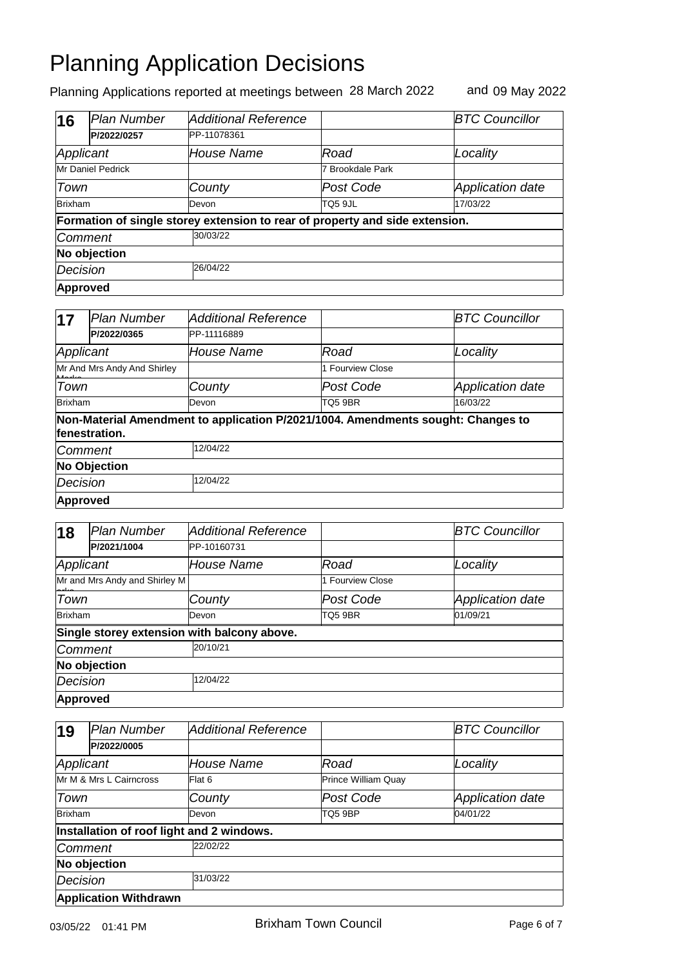| 16                | Plan Number  | <b>Additional Reference</b>                                                  |                  | <b>BTC Councillor</b>   |  |  |
|-------------------|--------------|------------------------------------------------------------------------------|------------------|-------------------------|--|--|
|                   | P/2022/0257  | PP-11078361                                                                  |                  |                         |  |  |
| Applicant         |              | House Name                                                                   | Road             | Locality                |  |  |
| Mr Daniel Pedrick |              |                                                                              | 7 Brookdale Park |                         |  |  |
| Town              |              | County                                                                       | Post Code        | <b>Application date</b> |  |  |
| Brixham           |              | Devon                                                                        | TQ5 9JL          | 17/03/22                |  |  |
|                   |              | Formation of single storey extension to rear of property and side extension. |                  |                         |  |  |
| <b>Comment</b>    |              | 30/03/22                                                                     |                  |                         |  |  |
|                   | No objection |                                                                              |                  |                         |  |  |
| Decision          |              | 26/04/22                                                                     |                  |                         |  |  |
| <b>Approved</b>   |              |                                                                              |                  |                         |  |  |

| 17                          | lPlan Number        | Additional Reference                                                             |                  | <b>BTC Councillor</b> |  |
|-----------------------------|---------------------|----------------------------------------------------------------------------------|------------------|-----------------------|--|
|                             | P/2022/0365         | PP-11116889                                                                      |                  |                       |  |
| Applicant                   |                     | <i>House Name</i>                                                                | Road             | Locality              |  |
| Mr And Mrs Andy And Shirley |                     |                                                                                  | 1 Fourview Close |                       |  |
| Town                        |                     | County                                                                           | Post Code        | Application date      |  |
| <b>Brixham</b>              |                     | Devon                                                                            | TQ5 9BR          | 16/03/22              |  |
|                             | fenestration.       | Non-Material Amendment to application P/2021/1004. Amendments sought: Changes to |                  |                       |  |
| <b>Comment</b>              |                     | 12/04/22                                                                         |                  |                       |  |
|                             | <b>No Objection</b> |                                                                                  |                  |                       |  |
| Decision                    |                     | 12/04/22                                                                         |                  |                       |  |
| Approved                    |                     |                                                                                  |                  |                       |  |

| 18                            | <b>Plan Number</b> | <b>Additional Reference</b>                 |                  | <b>BTC Councillor</b>   |
|-------------------------------|--------------------|---------------------------------------------|------------------|-------------------------|
|                               | P/2021/1004        | PP-10160731                                 |                  |                         |
| Applicant                     |                    | House Name                                  | Road             | Locality                |
| Mr and Mrs Andy and Shirley M |                    |                                             | 1 Fourview Close |                         |
| Town                          |                    | County                                      | Post Code        | <b>Application date</b> |
| Brixham                       |                    | Devon                                       | TQ5 9BR          | 01/09/21                |
|                               |                    | Single storey extension with balcony above. |                  |                         |
| <b>Comment</b>                |                    | 20/10/21                                    |                  |                         |
|                               | No objection       |                                             |                  |                         |
| Decision                      |                    | 12/04/22                                    |                  |                         |
| Approved                      |                    |                                             |                  |                         |

| 19                      | <b>Plan Number</b>           | <b>Additional Reference</b>               |                     | <b>BTC Councillor</b>   |  |
|-------------------------|------------------------------|-------------------------------------------|---------------------|-------------------------|--|
|                         | P/2022/0005                  |                                           |                     |                         |  |
| Applicant               |                              | House Name                                | Road                | Locality                |  |
| Mr M & Mrs L Cairncross |                              | Flat 6                                    | Prince William Quay |                         |  |
| Town                    |                              | County                                    | Post Code           | <b>Application date</b> |  |
| Brixham                 |                              | Devon                                     | TQ5 9BP             | 04/01/22                |  |
|                         |                              | Installation of roof light and 2 windows. |                     |                         |  |
| Comment                 |                              | 22/02/22                                  |                     |                         |  |
|                         | No objection                 |                                           |                     |                         |  |
| Decision                |                              | 31/03/22                                  |                     |                         |  |
|                         | <b>Application Withdrawn</b> |                                           |                     |                         |  |